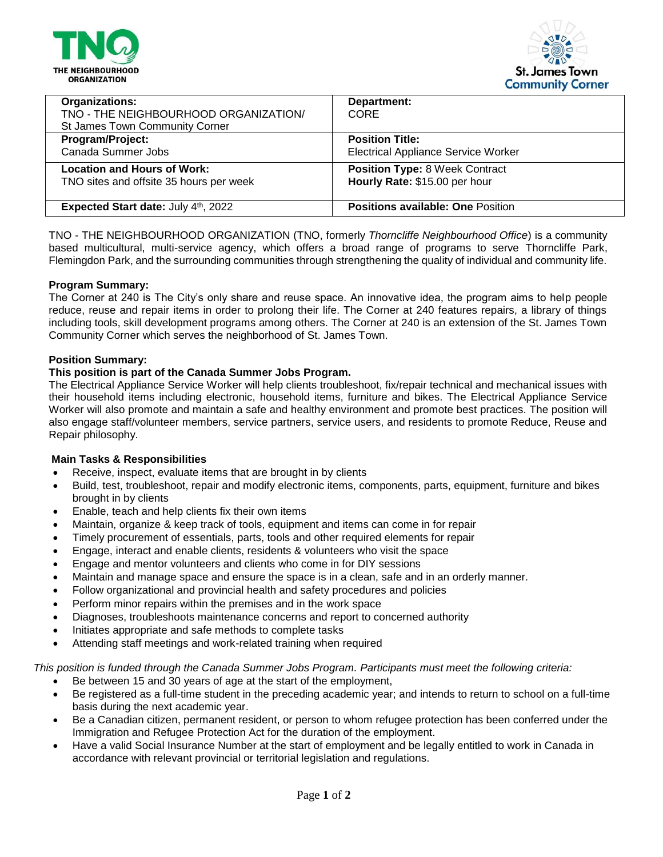



| <b>Organizations:</b>                   | Department:                                |
|-----------------------------------------|--------------------------------------------|
| TNO - THE NEIGHBOURHOOD ORGANIZATION/   | CORE.                                      |
| <b>St James Town Community Corner</b>   |                                            |
| Program/Project:                        | <b>Position Title:</b>                     |
| Canada Summer Jobs                      | <b>Electrical Appliance Service Worker</b> |
| <b>Location and Hours of Work:</b>      | <b>Position Type: 8 Week Contract</b>      |
| TNO sites and offsite 35 hours per week | Hourly Rate: \$15.00 per hour              |
|                                         |                                            |
| Expected Start date: July 4th, 2022     | <b>Positions available: One Position</b>   |

TNO - THE NEIGHBOURHOOD ORGANIZATION (TNO, formerly *Thorncliffe Neighbourhood Office*) is a community based multicultural, multi-service agency, which offers a broad range of programs to serve Thorncliffe Park, Flemingdon Park, and the surrounding communities through strengthening the quality of individual and community life.

### **Program Summary:**

The Corner at 240 is The City's only share and reuse space. An innovative idea, the program aims to help people reduce, reuse and repair items in order to prolong their life. The Corner at 240 features repairs, a library of things including tools, skill development programs among others. The Corner at 240 is an extension of the St. James Town Community Corner which serves the neighborhood of St. James Town.

### **Position Summary:**

# **This position is part of the Canada Summer Jobs Program.**

The Electrical Appliance Service Worker will help clients troubleshoot, fix/repair technical and mechanical issues with their household items including electronic, household items, furniture and bikes. The Electrical Appliance Service Worker will also promote and maintain a safe and healthy environment and promote best practices. The position will also engage staff/volunteer members, service partners, service users, and residents to promote Reduce, Reuse and Repair philosophy.

### **Main Tasks & Responsibilities**

- Receive, inspect, evaluate items that are brought in by clients
- Build, test, troubleshoot, repair and modify electronic items, components, parts, equipment, furniture and bikes brought in by clients
- Enable, teach and help clients fix their own items
- Maintain, organize & keep track of tools, equipment and items can come in for repair
- Timely procurement of essentials, parts, tools and other required elements for repair
- Engage, interact and enable clients, residents & volunteers who visit the space
- Engage and mentor volunteers and clients who come in for DIY sessions
- Maintain and manage space and ensure the space is in a clean, safe and in an orderly manner.
- Follow organizational and provincial health and safety procedures and policies
- Perform minor repairs within the premises and in the work space
- Diagnoses, troubleshoots maintenance concerns and report to concerned authority
- Initiates appropriate and safe methods to complete tasks
- Attending staff meetings and work-related training when required

*This position is funded through the Canada Summer Jobs Program. Participants must meet the following criteria:*

- Be between 15 and 30 years of age at the start of the employment,
- Be registered as a full-time student in the preceding academic year; and intends to return to school on a full-time basis during the next academic year.
- Be a Canadian citizen, permanent resident, or person to whom refugee protection has been conferred under the Immigration and Refugee Protection Act for the duration of the employment.
- Have a valid Social Insurance Number at the start of employment and be legally entitled to work in Canada in accordance with relevant provincial or territorial legislation and regulations.